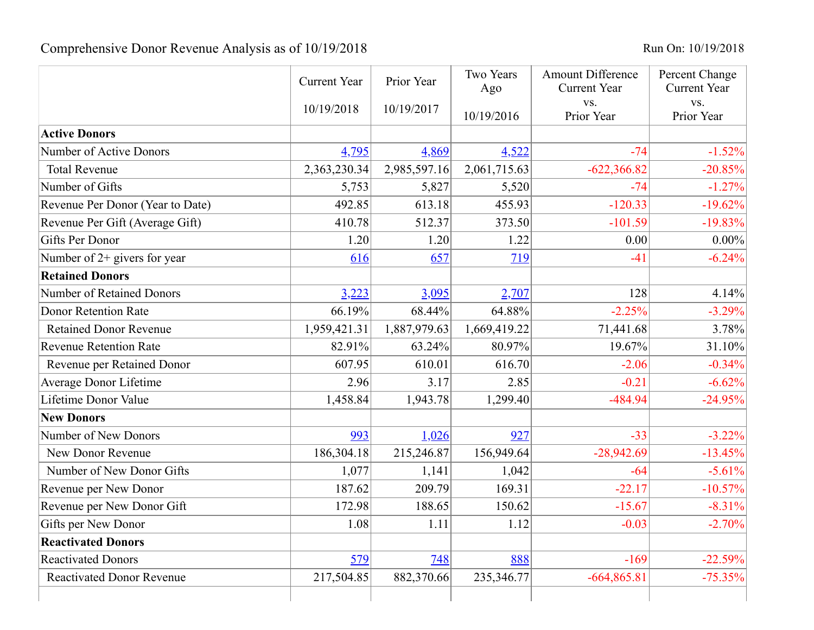## Comprehensive Donor Revenue Analysis as of 10/19/2018<br>Run On: 10/19/2018

|                                  | <b>Current Year</b> | Prior Year   | Two Years<br>Ago | <b>Amount Difference</b><br><b>Current Year</b> | Percent Change<br><b>Current Year</b> |
|----------------------------------|---------------------|--------------|------------------|-------------------------------------------------|---------------------------------------|
|                                  | 10/19/2018          | 10/19/2017   | 10/19/2016       | VS.<br>Prior Year                               | VS.<br>Prior Year                     |
| <b>Active Donors</b>             |                     |              |                  |                                                 |                                       |
| <b>Number of Active Donors</b>   | 4,795               | 4,869        | 4,522            | $-74$                                           | $-1.52%$                              |
| <b>Total Revenue</b>             | 2,363,230.34        | 2,985,597.16 | 2,061,715.63     | $-622,366.82$                                   | $-20.85%$                             |
| Number of Gifts                  | 5,753               | 5,827        | 5,520            | $-74$                                           | $-1.27%$                              |
| Revenue Per Donor (Year to Date) | 492.85              | 613.18       | 455.93           | $-120.33$                                       | $-19.62%$                             |
| Revenue Per Gift (Average Gift)  | 410.78              | 512.37       | 373.50           | $-101.59$                                       | $-19.83%$                             |
| <b>Gifts Per Donor</b>           | 1.20                | 1.20         | 1.22             | 0.00                                            | $0.00\%$                              |
| Number of 2+ givers for year     | 616                 | 657          | 719              | $-41$                                           | $-6.24%$                              |
| <b>Retained Donors</b>           |                     |              |                  |                                                 |                                       |
| <b>Number of Retained Donors</b> | 3,223               | 3,095        | 2,707            | 128                                             | 4.14%                                 |
| <b>Donor Retention Rate</b>      | 66.19%              | 68.44%       | 64.88%           | $-2.25%$                                        | $-3.29%$                              |
| <b>Retained Donor Revenue</b>    | 1,959,421.31        | 1,887,979.63 | 1,669,419.22     | 71,441.68                                       | 3.78%                                 |
| <b>Revenue Retention Rate</b>    | 82.91%              | 63.24%       | 80.97%           | 19.67%                                          | 31.10%                                |
| Revenue per Retained Donor       | 607.95              | 610.01       | 616.70           | $-2.06$                                         | $-0.34%$                              |
| <b>Average Donor Lifetime</b>    | 2.96                | 3.17         | 2.85             | $-0.21$                                         | $-6.62%$                              |
| Lifetime Donor Value             | 1,458.84            | 1,943.78     | 1,299.40         | -484.94                                         | $-24.95%$                             |
| <b>New Donors</b>                |                     |              |                  |                                                 |                                       |
| Number of New Donors             | 993                 | 1,026        | 927              | $-33$                                           | $-3.22\%$                             |
| New Donor Revenue                | 186,304.18          | 215,246.87   | 156,949.64       | $-28,942.69$                                    | $-13.45%$                             |
| Number of New Donor Gifts        | 1,077               | 1,141        | 1,042            | $-64$                                           | $-5.61%$                              |
| Revenue per New Donor            | 187.62              | 209.79       | 169.31           | $-22.17$                                        | $-10.57%$                             |
| Revenue per New Donor Gift       | 172.98              | 188.65       | 150.62           | $-15.67$                                        | $-8.31%$                              |
| Gifts per New Donor              | 1.08                | 1.11         | 1.12             | $-0.03$                                         | $-2.70%$                              |
| <b>Reactivated Donors</b>        |                     |              |                  |                                                 |                                       |
| <b>Reactivated Donors</b>        | 579                 | 748          | 888              | $-169$                                          | $-22.59%$                             |
| <b>Reactivated Donor Revenue</b> | 217,504.85          | 882,370.66   | 235,346.77       | $-664,865.81$                                   | $-75.35%$                             |
|                                  |                     |              |                  |                                                 |                                       |